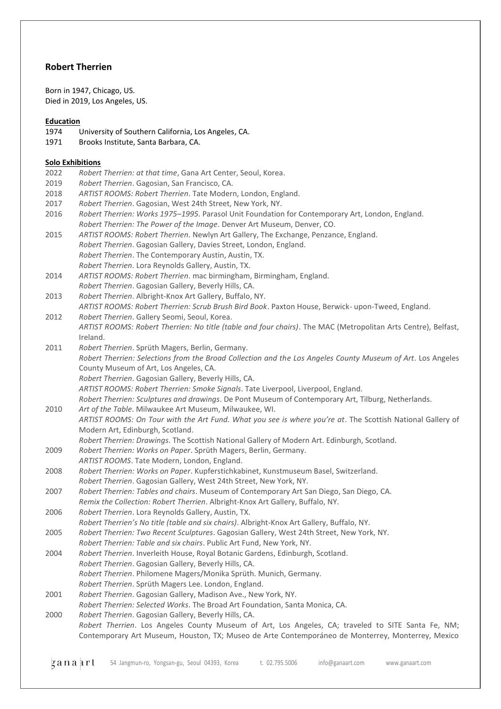# **Robert Therrien**

Born in 1947, Chicago, US. Died in 2019, Los Angeles, US.

# **Education**

- 1974 University of Southern California, Los Angeles, CA.
- 1971 Brooks Institute, Santa Barbara, CA.

### **Solo Exhibitions**

|      | <u>Solo Exhibitions</u>                                                                                                          |
|------|----------------------------------------------------------------------------------------------------------------------------------|
| 2022 | Robert Therrien: at that time, Gana Art Center, Seoul, Korea.                                                                    |
| 2019 | Robert Therrien. Gagosian, San Francisco, CA.                                                                                    |
| 2018 | ARTIST ROOMS: Robert Therrien. Tate Modern, London, England.                                                                     |
| 2017 | Robert Therrien. Gagosian, West 24th Street, New York, NY.                                                                       |
| 2016 | Robert Therrien: Works 1975-1995. Parasol Unit Foundation for Contemporary Art, London, England.                                 |
|      | Robert Therrien: The Power of the Image. Denver Art Museum, Denver, CO.                                                          |
| 2015 | ARTIST ROOMS: Robert Therrien. Newlyn Art Gallery, The Exchange, Penzance, England.                                              |
|      | Robert Therrien. Gagosian Gallery, Davies Street, London, England.                                                               |
|      | Robert Therrien. The Contemporary Austin, Austin, TX.                                                                            |
|      | Robert Therrien. Lora Reynolds Gallery, Austin, TX.                                                                              |
| 2014 | ARTIST ROOMS: Robert Therrien. mac birmingham, Birmingham, England.                                                              |
|      | Robert Therrien. Gagosian Gallery, Beverly Hills, CA.                                                                            |
| 2013 | Robert Therrien. Albright-Knox Art Gallery, Buffalo, NY.                                                                         |
|      | ARTIST ROOMS: Robert Therrien: Scrub Brush Bird Book. Paxton House, Berwick- upon-Tweed, England.                                |
| 2012 | Robert Therrien. Gallery Seomi, Seoul, Korea.                                                                                    |
|      | ARTIST ROOMS: Robert Therrien: No title (table and four chairs). The MAC (Metropolitan Arts Centre), Belfast,                    |
|      | Ireland.                                                                                                                         |
| 2011 | Robert Therrien. Sprüth Magers, Berlin, Germany.                                                                                 |
|      | Robert Therrien: Selections from the Broad Collection and the Los Angeles County Museum of Art. Los Angeles                      |
|      | County Museum of Art, Los Angeles, CA.                                                                                           |
|      | Robert Therrien. Gagosian Gallery, Beverly Hills, CA.                                                                            |
|      | ARTIST ROOMS: Robert Therrien: Smoke Signals. Tate Liverpool, Liverpool, England.                                                |
| 2010 | Robert Therrien: Sculptures and drawings. De Pont Museum of Contemporary Art, Tilburg, Netherlands.                              |
|      | Art of the Table. Milwaukee Art Museum, Milwaukee, WI.                                                                           |
|      | ARTIST ROOMS: On Tour with the Art Fund. What you see is where you're at. The Scottish National Gallery of                       |
|      | Modern Art, Edinburgh, Scotland.<br>Robert Therrien: Drawings. The Scottish National Gallery of Modern Art. Edinburgh, Scotland. |
| 2009 | Robert Therrien: Works on Paper. Sprüth Magers, Berlin, Germany.                                                                 |
|      | ARTIST ROOMS. Tate Modern, London, England.                                                                                      |
| 2008 | Robert Therrien: Works on Paper. Kupferstichkabinet, Kunstmuseum Basel, Switzerland.                                             |
|      | Robert Therrien. Gagosian Gallery, West 24th Street, New York, NY.                                                               |
| 2007 | Robert Therrien: Tables and chairs. Museum of Contemporary Art San Diego, San Diego, CA.                                         |
|      | Remix the Collection: Robert Therrien. Albright-Knox Art Gallery, Buffalo, NY.                                                   |
| 2006 | Robert Therrien. Lora Reynolds Gallery, Austin, TX.                                                                              |
|      | Robert Therrien's No title (table and six chairs). Albright-Knox Art Gallery, Buffalo, NY.                                       |
| 2005 | Robert Therrien: Two Recent Sculptures. Gagosian Gallery, West 24th Street, New York, NY.                                        |
|      | Robert Therrien: Table and six chairs. Public Art Fund, New York, NY.                                                            |
| 2004 | Robert Therrien. Inverleith House, Royal Botanic Gardens, Edinburgh, Scotland.                                                   |
|      | Robert Therrien. Gagosian Gallery, Beverly Hills, CA.                                                                            |
|      | Robert Therrien. Philomene Magers/Monika Sprüth. Munich, Germany.                                                                |
|      | Robert Therrien. Sprüth Magers Lee. London, England.                                                                             |
| 2001 | Robert Therrien. Gagosian Gallery, Madison Ave., New York, NY.                                                                   |
|      | Robert Therrien: Selected Works. The Broad Art Foundation, Santa Monica, CA.                                                     |
| 2000 | Robert Therrien. Gagosian Gallery, Beverly Hills, CA.                                                                            |
|      | Robert Therrien. Los Angeles County Museum of Art, Los Angeles, CA; traveled to SITE Santa Fe, NM;                               |
|      | Contemporary Art Museum, Houston, TX; Museo de Arte Contemporáneo de Monterrey, Monterrey, Mexico                                |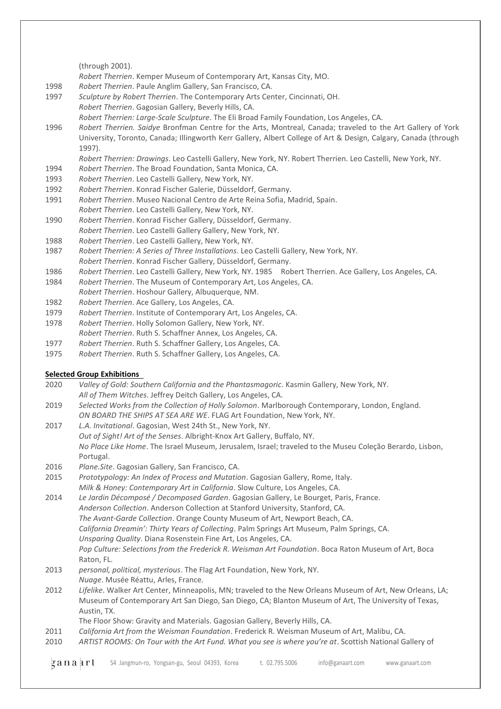#### (through 2001).

*Robert Therrien*. Kemper Museum of Contemporary Art, Kansas City, MO.

- 1998 *Robert Therrien*. Paule Anglim Gallery, San Francisco, CA.
- 1997 *Sculpture by Robert Therrien*. The Contemporary Arts Center, Cincinnati, OH. *Robert Therrien*. Gagosian Gallery, Beverly Hills, CA.

*Robert Therrien: Large-Scale Sculpture*. The Eli Broad Family Foundation, Los Angeles, CA.

1996 *Robert Therrien. Saidye* Bronfman Centre for the Arts, Montreal, Canada; traveled to the Art Gallery of York University, Toronto, Canada; Illingworth Kerr Gallery, Albert College of Art & Design, Calgary, Canada (through 1997).

*Robert Therrien: Drawings*. Leo Castelli Gallery, New York, NY. Robert Therrien. Leo Castelli, New York, NY.

- 1994 *Robert Therrien*. The Broad Foundation, Santa Monica, CA.
- 1993 *Robert Therrien*. Leo Castelli Gallery, New York, NY.
- 1992 *Robert Therrien*. Konrad Fischer Galerie, Düsseldorf, Germany.
- 1991 *Robert Therrien*. Museo Nacional Centro de Arte Reina Sofia, Madrid, Spain.
- *Robert Therrien*. Leo Castelli Gallery, New York, NY.
- 1990 *Robert Therrien*. Konrad Fischer Gallery, Düsseldorf, Germany. *Robert Therrien*. Leo Castelli Gallery Gallery, New York, NY.
- 1988 *Robert Therrien*. Leo Castelli Gallery, New York, NY.
- 1987 *Robert Therrien: A Series of Three Installations*. Leo Castelli Gallery, New York, NY.
- *Robert Therrien*. Konrad Fischer Gallery, Düsseldorf, Germany.

1986 *Robert Therrien*. Leo Castelli Gallery, New York, NY. 1985 Robert Therrien. Ace Gallery, Los Angeles, CA.

- 1984 *Robert Therrien*. The Museum of Contemporary Art, Los Angeles, CA.
- *Robert Therrien*. Hoshour Gallery, Albuquerque, NM.
- 1982 *Robert Therrien*. Ace Gallery, Los Angeles, CA.
- 1979 *Robert Therrien*. Institute of Contemporary Art, Los Angeles, CA.
- 1978 *Robert Therrien*. Holly Solomon Gallery, New York, NY.
- *Robert Therrien*. Ruth S. Schaffner Annex, Los Angeles, CA.
- 1977 *Robert Therrien*. Ruth S. Schaffner Gallery, Los Angeles, CA.
- 1975 *Robert Therrien*. Ruth S. Schaffner Gallery, Los Angeles, CA.

## **Selected Group Exhibitions**

- 2020 *Valley of Gold: Southern California and the Phantasmagoric*. Kasmin Gallery, New York, NY. *All of Them Witches*. Jeffrey Deitch Gallery, Los Angeles, CA.
- 2019 *Selected Works from the Collection of Holly Solomon*. Marlborough Contemporary, London, England. *ON BOARD THE SHIPS AT SEA ARE WE*. FLAG Art Foundation, New York, NY.
- 2017 *L.A. Invitational*. Gagosian, West 24th St., New York, NY. *Out of Sight! Art of the Senses*. Albright-Knox Art Gallery, Buffalo, NY. *No Place Like Home*. The Israel Museum, Jerusalem, Israel; traveled to the Museu Coleção Berardo, Lisbon, Portugal.
- 2016 *Plane.Site*. Gagosian Gallery, San Francisco, CA.
- 2015 *Prototypology: An Index of Process and Mutation*. Gagosian Gallery, Rome, Italy. *Milk & Honey: Contemporary Art in California*. Slow Culture, Los Angeles, CA.

2014 *Le Jardin Décomposé / Decomposed Garden*. Gagosian Gallery, Le Bourget, Paris, France. *Anderson Collection*. Anderson Collection at Stanford University, Stanford, CA. *The Avant-Garde Collection*. Orange County Museum of Art, Newport Beach, CA. *California Dreamin': Thirty Years of Collecting*. Palm Springs Art Museum, Palm Springs, CA. *Unsparing Quality*. Diana Rosenstein Fine Art, Los Angeles, CA. *Pop Culture: Selections from the Frederick R. Weisman Art Foundation*. Boca Raton Museum of Art, Boca Raton, FL. 2013 *personal, political, mysterious*. The Flag Art Foundation, New York, NY.

- *Nuage*. Musée Réattu, Arles, France.
- 2012 *Lifelike*. Walker Art Center, Minneapolis, MN; traveled to the New Orleans Museum of Art, New Orleans, LA; Museum of Contemporary Art San Diego, San Diego, CA; Blanton Museum of Art, The University of Texas, Austin, TX.
	- The Floor Show: Gravity and Materials. Gagosian Gallery, Beverly Hills, CA.
- 2011 *California Art from the Weisman Foundation*. Frederick R. Weisman Museum of Art, Malibu, CA.
- 2010 *ARTIST ROOMS: On Tour with the Art Fund. What you see is where you're at*. Scottish National Gallery of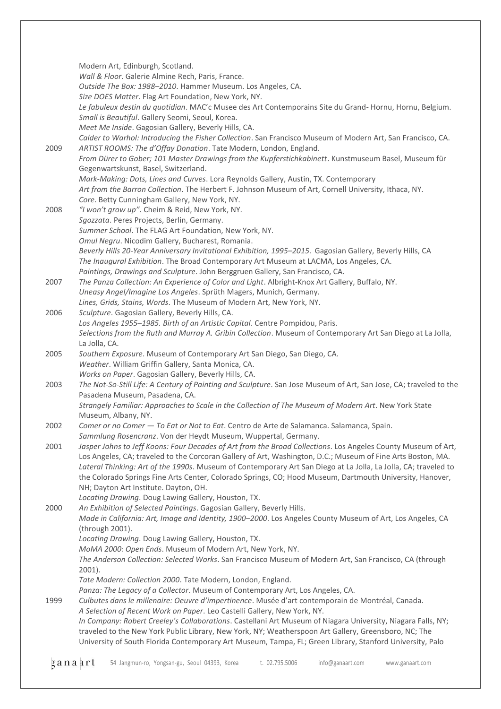Modern Art, Edinburgh, Scotland. *Wall & Floor*. Galerie Almine Rech, Paris, France. *Outside The Box: 1988–2010*. Hammer Museum. Los Angeles, CA. *Size DOES Matter*. Flag Art Foundation, New York, NY. *Le fabuleux destin du quotidian*. MAC'c Musee des Art Contemporains Site du Grand- Hornu, Hornu, Belgium. *Small is Beautiful*. Gallery Seomi, Seoul, Korea. *Meet Me Inside*. Gagosian Gallery, Beverly Hills, CA. *Calder to Warhol: Introducing the Fisher Collection*. San Francisco Museum of Modern Art, San Francisco, CA. 2009 *ARTIST ROOMS: The d'Offay Donation*. Tate Modern, London, England. *From Dürer to Gober; 101 Master Drawings from the Kupferstichkabinett*. Kunstmuseum Basel, Museum für Gegenwartskunst, Basel, Switzerland. *Mark-Making: Dots, Lines and Curves*. Lora Reynolds Gallery, Austin, TX. Contemporary *Art from the Barron Collection*. The Herbert F. Johnson Museum of Art, Cornell University, Ithaca, NY. *Core*. Betty Cunningham Gallery, New York, NY. 2008 *"I won't grow up"*. Cheim & Reid, New York, NY. *Sgozzata*. Peres Projects, Berlin, Germany. *Summer School*. The FLAG Art Foundation, New York, NY. *Omul Negru*. Nicodim Gallery, Bucharest, Romania. *Beverly Hills 20-Year Anniversary Invitational Exhibition, 1995–2015*. Gagosian Gallery, Beverly Hills, CA *The Inaugural Exhibition*. The Broad Contemporary Art Museum at LACMA, Los Angeles, CA. *Paintings, Drawings and Sculpture*. John Berggruen Gallery, San Francisco, CA. 2007 *The Panza Collection: An Experience of Color and Light*. Albright-Knox Art Gallery, Buffalo, NY. *Uneasy Angel/Imagine Los Angeles*. Sprüth Magers, Munich, Germany. *Lines, Grids, Stains, Words*. The Museum of Modern Art, New York, NY. 2006 *Sculpture*. Gagosian Gallery, Beverly Hills, CA. *Los Angeles 1955–1985. Birth of an Artistic Capital*. Centre Pompidou, Paris. *Selections from the Ruth and Murray A. Gribin Collection*. Museum of Contemporary Art San Diego at La Jolla, La Jolla, CA. 2005 *Southern Exposure*. Museum of Contemporary Art San Diego, San Diego, CA. *Weather*. William Griffin Gallery, Santa Monica, CA. *Works on Paper*. Gagosian Gallery, Beverly Hills, CA. 2003 *The Not-So-Still Life: A Century of Painting and Sculpture*. San Jose Museum of Art, San Jose, CA; traveled to the Pasadena Museum, Pasadena, CA. *Strangely Familiar: Approaches to Scale in the Collection of The Museum of Modern Art*. New York State Museum, Albany, NY. 2002 *Comer or no Comer — To Eat or Not to Eat*. Centro de Arte de Salamanca. Salamanca, Spain. *Sammlung Rosencranz*. Von der Heydt Museum, Wuppertal, Germany. 2001 *Jasper Johns to Jeff Koons: Four Decades of Art from the Broad Collections*. Los Angeles County Museum of Art, Los Angeles, CA; traveled to the Corcoran Gallery of Art, Washington, D.C.; Museum of Fine Arts Boston, MA. *Lateral Thinking: Art of the 1990s*. Museum of Contemporary Art San Diego at La Jolla, La Jolla, CA; traveled to the Colorado Springs Fine Arts Center, Colorado Springs, CO; Hood Museum, Dartmouth University, Hanover, NH; Dayton Art Institute. Dayton, OH. *Locating Drawing*. Doug Lawing Gallery, Houston, TX. 2000 *An Exhibition of Selected Paintings*. Gagosian Gallery, Beverly Hills. *Made in California: Art, Image and Identity, 1900–2000*. Los Angeles County Museum of Art, Los Angeles, CA (through 2001). *Locating Drawing*. Doug Lawing Gallery, Houston, TX. *MoMA 2000: Open Ends*. Museum of Modern Art, New York, NY. *The Anderson Collection: Selected Works*. San Francisco Museum of Modern Art, San Francisco, CA (through 2001). *Tate Modern: Collection 2000*. Tate Modern, London, England. *Panza: The Legacy of a Collector*. Museum of Contemporary Art, Los Angeles, CA. 1999 *Culbutes dans le millenaire: Oeuvre d'impertinence*. Musée d'art contemporain de Montréal, Canada. *A Selection of Recent Work on Paper*. Leo Castelli Gallery, New York, NY. *In Company: Robert Creeley's Collaborations*. Castellani Art Museum of Niagara University, Niagara Falls, NY; traveled to the New York Public Library, New York, NY; Weatherspoon Art Gallery, Greensboro, NC; The University of South Florida Contemporary Art Museum, Tampa, FL; Green Library, Stanford University, Palo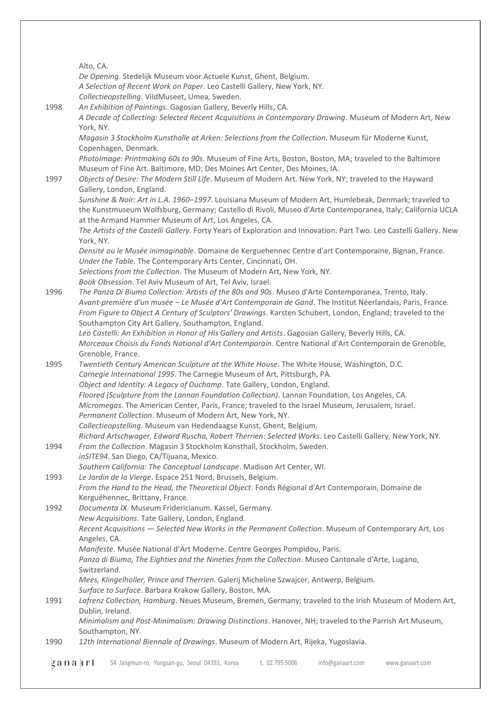Alto, CA. *De Opening*. Stedelijk Museum voor Actuele Kunst, Ghent, Belgium. *A Selection of Recent Work on Paper*. Leo Castelli Gallery, New York, NY. *Collectieopstelling*. VildMuseet, Umea, Sweden. 1998 *An Exhibition of Paintings.* Gagosian Gallery, Beverly Hills, CA. *A Decade of Collecting: Selected Recent Acquisitions in Contemporary Drawing*. Museum of Modern Art, New York, NY. *Magasin 3 Stockholm Kunsthalle at Arken: Selections from the Collection*. Museum für Moderne Kunst, Copenhagen, Denmark. *PhotoImage: Printmaking 60s to 90s*. Museum of Fine Arts, Boston, Boston, MA; traveled to the Baltimore Museum of Fine Art. Baltimore, MD; Des Moines Art Center, Des Moines, IA. 1997 *Objects of Desire: The Modern Still Life*. Museum of Modern Art. New York, NY; traveled to the Hayward Gallery, London, England. *Sunshine & Noir: Art in L.A. 1960–1997*. Louisiana Museum of Modern Art, Humlebeak, Denmark; traveled to the Kunstmuseum Wolfsburg, Germany; Castello di Rivoli, Museo d'Arte Contemporanea, Italy; California UCLA at the Armand Hammer Museum of Art, Los Angeles, CA. *The Artists of the Castelli Gallery*. Forty Years of Exploration and Innovation. Part Two. Leo Castelli Gallery. New York, NY. *Densité ou le Musée inimaginable*. Domaine de Kerguehennec Centre d'art Contemporaine, Bignan, France. *Under the Table*. The Contemporary Arts Center, Cincinnati, OH. *Selections from the Collection*. The Museum of Modern Art, New York, NY. *Book Obsession*. Tel Aviv Museum of Art, Tel Aviv, Israel. 1996 *The Panza Di Biumo Collection: Artists of the 80s and 90s*. Museo d'Arte Contemporanea, Trento, Italy. *Avant-première d'un musée – Le Musée d'Art Contemporain de Gand*. The Institut Néerlandais, Paris, France. *From Figure to Object A Century of Sculptors' Drawings*. Karsten Schubert, London, England; traveled to the Southampton City Art Gallery, Southampton, England. *Leo Castelli: An Exhibition in Honor of His Gallery and Artists*. Gagosian Gallery, Beverly Hills, CA. *Morceaux Choisis du Fonds National d'Art Contemporain*. Centre National d'Art Contemporain de Grenoble, Grenoble, France. 1995 *Twentieth Century American Sculpture at the White House*. The White House, Washington, D.C. *Carnegie International 1995*. The Carnegie Museum of Art, Pittsburgh, PA. *Object and Identity: A Legacy of Duchamp*. Tate Gallery, London, England. *Floored (Sculpture from the Lannan Foundation Collection)*. Lannan Foundation, Los Angeles, CA. *Micromegas*. The American Center, Paris, France; traveled to the Israel Museum, Jerusalem, Israel. *Permanent Collection*. Museum of Modern Art, New York, NY. *Collectieopstelling*. Museum van Hedendaagse Kunst, Ghent, Belgium. *Richard Artschwager, Edward Ruscha, Robert Therrien: Selected Works*. Leo Castelli Gallery, New York, NY. 1994 *From the Collection*. Magasin 3 Stockholm Konsthall, Stockholm, Sweden. *inSITE94*. San Diego, CA/Tijuana, Mexico. *Southern California: The Conceptual Landscape*. Madison Art Center, WI. 1993 *Le Jardin de la Vierge*. Espace 251 Nord, Brussels, Belgium. *From the Hand to the Head, the Theoretical Object*. Fonds Régional d'Art Contemporain, Domaine de Kerguéhennec, Brittany, France. 1992 *Documenta IX*. Museum Fridericianum. Kassel, Germany. *New Acquisitions*. Tate Gallery, London, England. *Recent Acquisitions — Selected New Works in the Permanent Collection*. Museum of Contemporary Art, Los Angeles, CA. *Manifeste*. Musée National d'Art Moderne. Centre Georges Pompidou, Paris. *Panza di Biumo, The Eighties and the Nineties from the Collection*. Museo Cantonale d'Arte, Lugano, Switzerland. *Mees, Klingelholler, Prince and Therrien*. Galerij Micheline Szwajcer, Antwerp, Belgium. *Surface to Surface*. Barbara Krakow Gallery, Boston, MA. 1991 *Lafrenz Collection, Hamburg*. Neues Museum, Bremen, Germany; traveled to the Irish Museum of Modern Art, Dublin, Ireland. *Minimalism and Post-Minimalism: Drawing Distinctions*. Hanover, NH; traveled to the Parrish Art Museum, Southampton, NY. 1990 *12th International Biennale of Drawings*. Museum of Modern Art, Rijeka, Yugoslavia.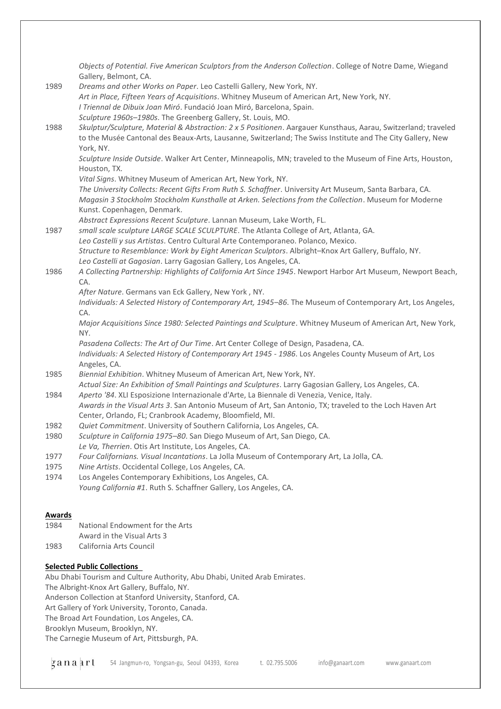*Objects of Potential. Five American Sculptors from the Anderson Collection*. College of Notre Dame, Wiegand Gallery, Belmont, CA. 1989 *Dreams and other Works on Paper*. Leo Castelli Gallery, New York, NY. *Art in Place, Fifteen Years of Acquisitions*. Whitney Museum of American Art, New York, NY. *I Triennal de Dibuix Joan Miró*. Fundació Joan Miró, Barcelona, Spain. *Sculpture 1960s–1980s*. The Greenberg Gallery, St. Louis, MO. 1988 *Skulptur/Sculpture, Material & Abstraction: 2 x 5 Positionen*. Aargauer Kunsthaus, Aarau, Switzerland; traveled to the Musée Cantonal des Beaux-Arts, Lausanne, Switzerland; The Swiss Institute and The City Gallery, New York, NY. *Sculpture Inside Outside*. Walker Art Center, Minneapolis, MN; traveled to the Museum of Fine Arts, Houston, Houston, TX. *Vital Signs*. Whitney Museum of American Art, New York, NY. *The University Collects: Recent Gifts From Ruth S. Schaffner*. University Art Museum, Santa Barbara, CA. *Magasin 3 Stockholm Stockholm Kunsthalle at Arken. Selections from the Collection*. Museum for Moderne Kunst. Copenhagen, Denmark. *Abstract Expressions Recent Sculpture*. Lannan Museum, Lake Worth, FL. 1987 *small scale sculpture LARGE SCALE SCULPTURE*. The Atlanta College of Art, Atlanta, GA. *Leo Castelli y sus Artistas*. Centro Cultural Arte Contemporaneo. Polanco, Mexico. *Structure to Resemblance: Work by Eight American Sculptors*. Albright–Knox Art Gallery, Buffalo, NY. *Leo Castelli at Gagosian*. Larry Gagosian Gallery, Los Angeles, CA. 1986 *A Collecting Partnership: Highlights of California Art Since 1945*. Newport Harbor Art Museum, Newport Beach,  $\Gamma$  $\triangle$ *After Nature*. Germans van Eck Gallery, New York , NY. *Individuals: A Selected History of Contemporary Art, 1945–86*. The Museum of Contemporary Art, Los Angeles, CA. *Major Acquisitions Since 1980: Selected Paintings and Sculpture*. Whitney Museum of American Art, New York, NY. *Pasadena Collects: The Art of Our Time*. Art Center College of Design, Pasadena, CA. *Individuals: A Selected History of Contemporary Art 1945 - 1986*. Los Angeles County Museum of Art, Los Angeles, CA. 1985 *Biennial Exhibition*. Whitney Museum of American Art, New York, NY. *Actual Size: An Exhibition of Small Paintings and Sculptures*. Larry Gagosian Gallery, Los Angeles, CA. 1984 *Aperto '84*. XLI Esposizione Internazionale d'Arte, La Biennale di Venezia, Venice, Italy. *Awards in the Visual Arts 3*. San Antonio Museum of Art, San Antonio, TX; traveled to the Loch Haven Art Center, Orlando, FL; Cranbrook Academy, Bloomfield, MI. 1982 *Quiet Commitment*. University of Southern California, Los Angeles, CA. 1980 *Sculpture in California 1975–80*. San Diego Museum of Art, San Diego, CA. *Le Va, Therrien*. Otis Art Institute, Los Angeles, CA. 1977 *Four Californians. Visual Incantations*. La Jolla Museum of Contemporary Art, La Jolla, CA. 1975 *Nine Artists*. Occidental College, Los Angeles, CA. 1974 Los Angeles Contemporary Exhibitions, Los Angeles, CA. *Young California #1*. Ruth S. Schaffner Gallery, Los Angeles, CA. **Awards** 1984 National Endowment for the Arts Award in the Visual Arts 3 1983 California Arts Council **Selected Public Collections** Abu Dhabi Tourism and Culture Authority, Abu Dhabi, United Arab Emirates. The Albright-Knox Art Gallery, Buffalo, NY.

Anderson Collection at Stanford University, Stanford, CA.

Art Gallery of York University, Toronto, Canada.

The Broad Art Foundation, Los Angeles, CA.

Brooklyn Museum, Brooklyn, NY.

The Carnegie Museum of Art, Pittsburgh, PA.